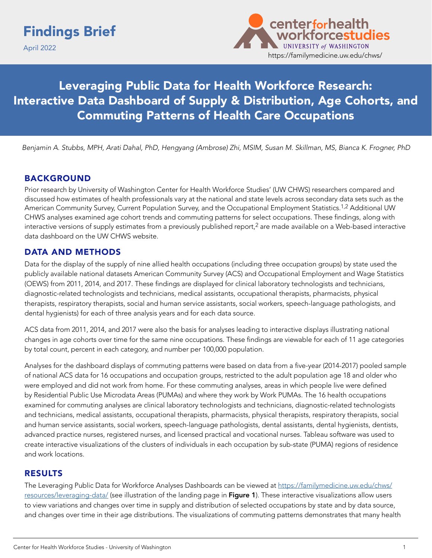April 2022



Leveraging Public Data for Health Workforce Research: Interactive Data Dashboard of Supply & Distribution, Age Cohorts, and Commuting Patterns of Health Care Occupations

 *Benjamin A. Stubbs, MPH, Arati Dahal, PhD, Hengyang (Ambrose) Zhi, MSIM, Susan M. Skillman, MS, Bianca K. Frogner, PhD*

### BACKGROUND

Prior research by University of Washington Center for Health Workforce Studies' (UW CHWS) researchers compared and discussed how estimates of health professionals vary at the national and state levels across secondary data sets such as the American Community Survey, Current Population Survey, and the Occupational Employment Statistics.<sup>1,2</sup> Additional UW CHWS analyses examined age cohort trends and commuting patterns for select occupations. These findings, along with interactive versions of supply estimates from a previously published report,<sup>2</sup> are made available on a Web-based interactive data dashboard on the UW CHWS website.

### DATA AND METHODS

Data for the display of the supply of nine allied health occupations (including three occupation groups) by state used the publicly available national datasets American Community Survey (ACS) and Occupational Employment and Wage Statistics (OEWS) from 2011, 2014, and 2017. These findings are displayed for clinical laboratory technologists and technicians, diagnostic-related technologists and technicians, medical assistants, occupational therapists, pharmacists, physical therapists, respiratory therapists, social and human service assistants, social workers, speech-language pathologists, and dental hygienists) for each of three analysis years and for each data source.

ACS data from 2011, 2014, and 2017 were also the basis for analyses leading to interactive displays illustrating national changes in age cohorts over time for the same nine occupations. These findings are viewable for each of 11 age categories by total count, percent in each category, and number per 100,000 population.

Analyses for the dashboard displays of commuting patterns were based on data from a five-year (2014-2017) pooled sample of national ACS data for 16 occupations and occupation groups, restricted to the adult population age 18 and older who were employed and did not work from home. For these commuting analyses, areas in which people live were defined by Residential Public Use Microdata Areas (PUMAs) and where they work by Work PUMAs. The 16 health occupations examined for commuting analyses are clinical laboratory technologists and technicians, diagnostic-related technologists and technicians, medical assistants, occupational therapists, pharmacists, physical therapists, respiratory therapists, social and human service assistants, social workers, speech-language pathologists, dental assistants, dental hygienists, dentists, advanced practice nurses, registered nurses, and licensed practical and vocational nurses. Tableau software was used to create interactive visualizations of the clusters of individuals in each occupation by sub-state (PUMA) regions of residence and work locations.

#### RESULTS

The Leveraging Public Data for Workforce Analyses Dashboards can be viewed at [https://familymedicine.uw.edu/chws/](https://familymedicine.uw.edu/chws/resources/leveraging-data/) [resources/leveraging-data/](https://familymedicine.uw.edu/chws/resources/leveraging-data/) (see illustration of the landing page in Figure 1). These interactive visualizations allow users to view variations and changes over time in supply and distribution of selected occupations by state and by data source, and changes over time in their age distributions. The visualizations of commuting patterns demonstrates that many health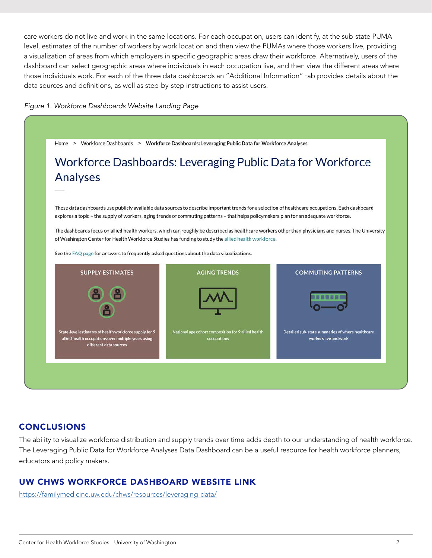care workers do not live and work in the same locations. For each occupation, users can identify, at the sub-state PUMAlevel, estimates of the number of workers by work location and then view the PUMAs where those workers live, providing a visualization of areas from which employers in specific geographic areas draw their workforce. Alternatively, users of the dashboard can select geographic areas where individuals in each occupation live, and then view the different areas where those individuals work. For each of the three data dashboards an "Additional Information" tab provides details about the data sources and definitions, as well as step-by-step instructions to assist users.





# **CONCLUSIONS**

The ability to visualize workforce distribution and supply trends over time adds depth to our understanding of health workforce. The Leveraging Public Data for Workforce Analyses Data Dashboard can be a useful resource for health workforce planners, educators and policy makers.

# UW CHWS WORKFORCE DASHBOARD WEBSITE LINK

<https://familymedicine.uw.edu/chws/resources/leveraging-data/>